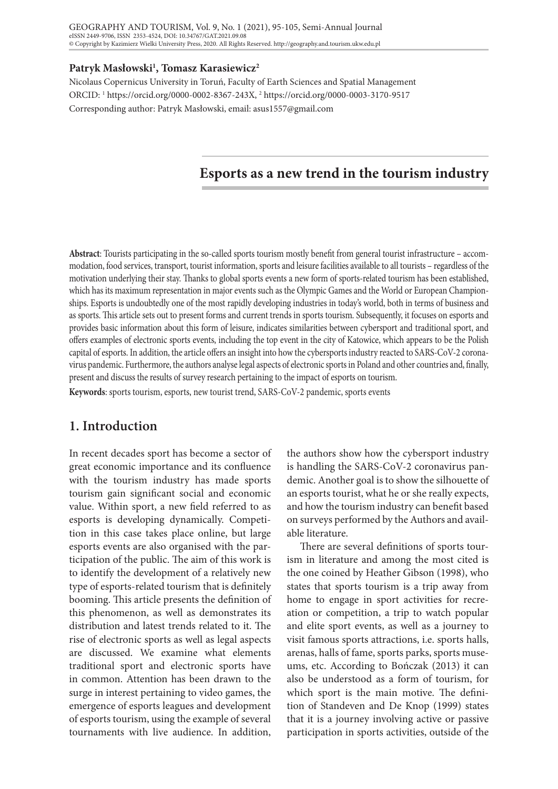## **Patryk Masłowski1 , Tomasz Karasiewicz2**

Nicolaus Copernicus University in Toruń, Faculty of Earth Sciences and Spatial Management ORCID: 1 https://orcid.org/0000-0002-8367-243X, 2 https://orcid.org/0000-0003-3170-9517 Corresponding author: Patryk Masłowski, email: asus1557@gmail.com

# **Esports as a new trend in the tourism industry**

**Abstract**: Tourists participating in the so-called sports tourism mostly benefit from general tourist infrastructure – accommodation, food services, transport, tourist information, sports and leisure facilities available to all tourists – regardless of the motivation underlying their stay. Thanks to global sports events a new form of sports-related tourism has been established, which has its maximum representation in major events such as the Olympic Games and the World or European Championships. Esports is undoubtedly one of the most rapidly developing industries in today's world, both in terms of business and as sports. This article sets out to present forms and current trends in sports tourism. Subsequently, it focuses on esports and provides basic information about this form of leisure, indicates similarities between cybersport and traditional sport, and offers examples of electronic sports events, including the top event in the city of Katowice, which appears to be the Polish capital of esports. In addition, the article offers an insight into how the cybersports industry reacted to SARS-CoV-2 coronavirus pandemic. Furthermore, the authors analyse legal aspects of electronic sports in Poland and other countries and, finally, present and discuss the results of survey research pertaining to the impact of esports on tourism.

**Keywords**: sports tourism, esports, new tourist trend, SARS-CoV-2 pandemic, sports events

## **1. Introduction**

In recent decades sport has become a sector of great economic importance and its confluence with the tourism industry has made sports tourism gain significant social and economic value. Within sport, a new field referred to as esports is developing dynamically. Competition in this case takes place online, but large esports events are also organised with the participation of the public. The aim of this work is to identify the development of a relatively new type of esports-related tourism that is definitely booming. This article presents the definition of this phenomenon, as well as demonstrates its distribution and latest trends related to it. The rise of electronic sports as well as legal aspects are discussed. We examine what elements traditional sport and electronic sports have in common. Attention has been drawn to the surge in interest pertaining to video games, the emergence of esports leagues and development of esports tourism, using the example of several tournaments with live audience. In addition,

the authors show how the cybersport industry is handling the SARS-CoV-2 coronavirus pandemic. Another goal is to show the silhouette of an esports tourist, what he or she really expects, and how the tourism industry can benefit based on surveys performed by the Authors and available literature.

There are several definitions of sports tourism in literature and among the most cited is the one coined by Heather Gibson (1998), who states that sports tourism is a trip away from home to engage in sport activities for recreation or competition, a trip to watch popular and elite sport events, as well as a journey to visit famous sports attractions, i.e. sports halls, arenas, halls of fame, sports parks, sports museums, etc. According to Bończak (2013) it can also be understood as a form of tourism, for which sport is the main motive. The definition of Standeven and De Knop (1999) states that it is a journey involving active or passive participation in sports activities, outside of the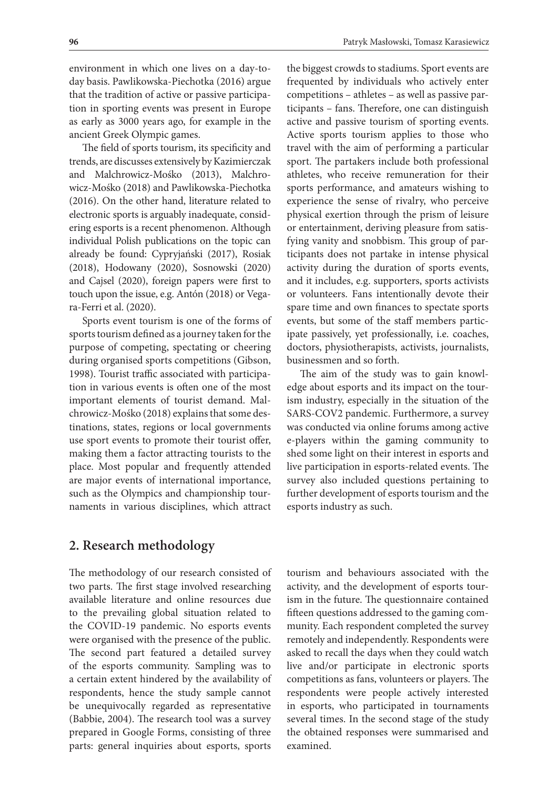environment in which one lives on a day-today basis. Pawlikowska-Piechotka (2016) argue that the tradition of active or passive participation in sporting events was present in Europe as early as 3000 years ago, for example in the ancient Greek Olympic games.

The field of sports tourism, its specificity and trends, are discusses extensively by Kazimierczak and Malchrowicz-Mośko (2013), Malchrowicz-Mośko (2018) and Pawlikowska-Piechotka (2016). On the other hand, literature related to electronic sports is arguably inadequate, considering esports is a recent phenomenon. Although individual Polish publications on the topic can already be found: Cypryjański (2017), Rosiak (2018), Hodowany (2020), Sosnowski (2020) and Cajsel (2020), foreign papers were first to touch upon the issue, e.g. Antón (2018) or Vegara-Ferri et al. (2020).

Sports event tourism is one of the forms of sports tourism defined as a journey taken for the purpose of competing, spectating or cheering during organised sports competitions (Gibson, 1998). Tourist traffic associated with participation in various events is often one of the most important elements of tourist demand. Malchrowicz-Mośko (2018) explains that some destinations, states, regions or local governments use sport events to promote their tourist offer, making them a factor attracting tourists to the place. Most popular and frequently attended are major events of international importance, such as the Olympics and championship tournaments in various disciplines, which attract

the biggest crowds to stadiums. Sport events are frequented by individuals who actively enter competitions – athletes – as well as passive participants – fans. Therefore, one can distinguish active and passive tourism of sporting events. Active sports tourism applies to those who travel with the aim of performing a particular sport. The partakers include both professional athletes, who receive remuneration for their sports performance, and amateurs wishing to experience the sense of rivalry, who perceive physical exertion through the prism of leisure or entertainment, deriving pleasure from satisfying vanity and snobbism. This group of participants does not partake in intense physical activity during the duration of sports events, and it includes, e.g. supporters, sports activists or volunteers. Fans intentionally devote their spare time and own finances to spectate sports events, but some of the staff members participate passively, yet professionally, i.e. coaches, doctors, physiotherapists, activists, journalists, businessmen and so forth.

The aim of the study was to gain knowledge about esports and its impact on the tourism industry, especially in the situation of the SARS-COV2 pandemic. Furthermore, a survey was conducted via online forums among active e-players within the gaming community to shed some light on their interest in esports and live participation in esports-related events. The survey also included questions pertaining to further development of esports tourism and the esports industry as such.

## **2. Research methodology**

The methodology of our research consisted of two parts. The first stage involved researching available literature and online resources due to the prevailing global situation related to the COVID-19 pandemic. No esports events were organised with the presence of the public. The second part featured a detailed survey of the esports community. Sampling was to a certain extent hindered by the availability of respondents, hence the study sample cannot be unequivocally regarded as representative (Babbie, 2004). The research tool was a survey prepared in Google Forms, consisting of three parts: general inquiries about esports, sports

tourism and behaviours associated with the activity, and the development of esports tourism in the future. The questionnaire contained fifteen questions addressed to the gaming community. Each respondent completed the survey remotely and independently. Respondents were asked to recall the days when they could watch live and/or participate in electronic sports competitions as fans, volunteers or players. The respondents were people actively interested in esports, who participated in tournaments several times. In the second stage of the study the obtained responses were summarised and examined.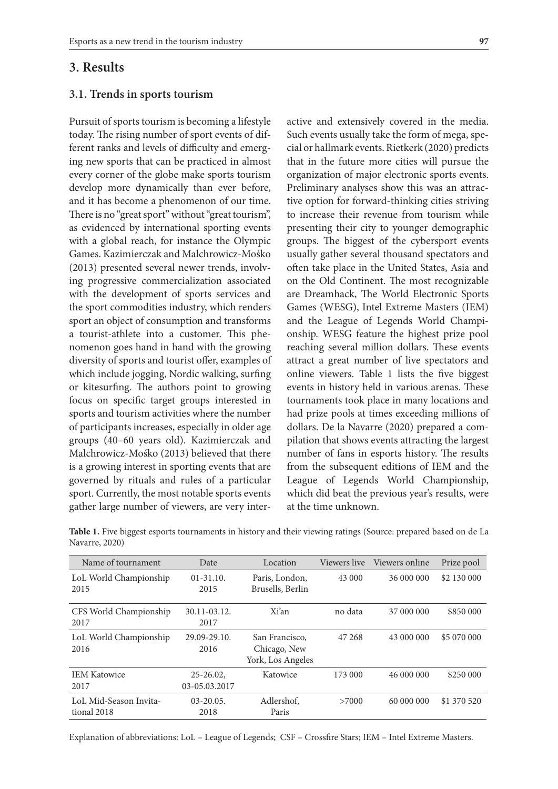## **3. Results**

#### **3.1. Trends in sports tourism**

Pursuit of sports tourism is becoming a lifestyle today. The rising number of sport events of different ranks and levels of difficulty and emerging new sports that can be practiced in almost every corner of the globe make sports tourism develop more dynamically than ever before, and it has become a phenomenon of our time. There is no "great sport" without "great tourism", as evidenced by international sporting events with a global reach, for instance the Olympic Games. Kazimierczak and Malchrowicz-Mośko (2013) presented several newer trends, involving progressive commercialization associated with the development of sports services and the sport commodities industry, which renders sport an object of consumption and transforms a tourist-athlete into a customer. This phenomenon goes hand in hand with the growing diversity of sports and tourist offer, examples of which include jogging, Nordic walking, surfing or kitesurfing. The authors point to growing focus on specific target groups interested in sports and tourism activities where the number of participants increases, especially in older age groups (40–60 years old). Kazimierczak and Malchrowicz-Mośko (2013) believed that there is a growing interest in sporting events that are governed by rituals and rules of a particular sport. Currently, the most notable sports events gather large number of viewers, are very interactive and extensively covered in the media. Such events usually take the form of mega, special or hallmark events. Rietkerk (2020) predicts that in the future more cities will pursue the organization of major electronic sports events. Preliminary analyses show this was an attractive option for forward-thinking cities striving to increase their revenue from tourism while presenting their city to younger demographic groups. The biggest of the cybersport events usually gather several thousand spectators and often take place in the United States, Asia and on the Old Continent. The most recognizable are Dreamhack, The World Electronic Sports Games (WESG), Intel Extreme Masters (IEM) and the League of Legends World Championship. WESG feature the highest prize pool reaching several million dollars. These events attract a great number of live spectators and online viewers. Table 1 lists the five biggest events in history held in various arenas. These tournaments took place in many locations and had prize pools at times exceeding millions of dollars. De la Navarre (2020) prepared a compilation that shows events attracting the largest number of fans in esports history. The results from the subsequent editions of IEM and the League of Legends World Championship, which did beat the previous year's results, were at the time unknown.

| Name of tournament                    | Date                          | Location                                            | Viewers live | Viewers online | Prize pool  |
|---------------------------------------|-------------------------------|-----------------------------------------------------|--------------|----------------|-------------|
| LoL World Championship<br>2015        | $01 - 31.10.$<br>2015         | Paris, London,<br>Brusells, Berlin                  | 43 000       | 36 000 000     | \$2 130 000 |
| CFS World Championship<br>2017        | 30.11-03.12.<br>2017          | Xi'an                                               | no data      | 37 000 000     | \$850 000   |
| LoL World Championship<br>2016        | 29.09-29.10.<br>2016          | San Francisco,<br>Chicago, New<br>York, Los Angeles | 47 268       | 43 000 000     | \$5 070 000 |
| <b>IEM Katowice</b><br>2017           | $25 - 26.02$<br>03-05.03.2017 | Katowice                                            | 173 000      | 46 000 000     | \$250 000   |
| LoL Mid-Season Invita-<br>tional 2018 | $03 - 20.05$ .<br>2018        | Adlershof,<br>Paris                                 | >7000        | 60 000 000     | \$1 370 520 |

**Table 1.** Five biggest esports tournaments in history and their viewing ratings (Source: prepared based on de La Navarre, 2020)

Explanation of abbreviations: LoL – League of Legends; CSF – Crossfire Stars; IEM – Intel Extreme Masters.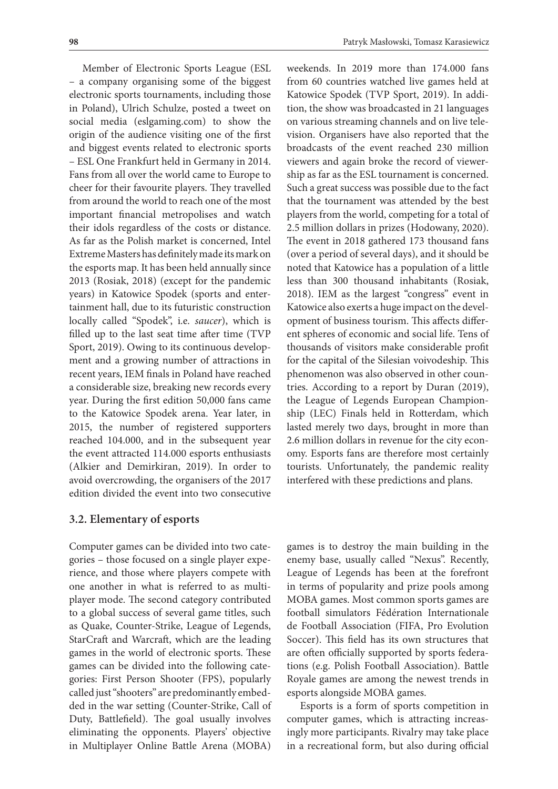Member of Electronic Sports League (ESL – a company organising some of the biggest electronic sports tournaments, including those in Poland), Ulrich Schulze, posted a tweet on social media (eslgaming.com) to show the origin of the audience visiting one of the first and biggest events related to electronic sports – ESL One Frankfurt held in Germany in 2014. Fans from all over the world came to Europe to cheer for their favourite players. They travelled from around the world to reach one of the most important financial metropolises and watch their idols regardless of the costs or distance. As far as the Polish market is concerned, Intel Extreme Masters has definitely made its mark on the esports map. It has been held annually since 2013 (Rosiak, 2018) (except for the pandemic years) in Katowice Spodek (sports and entertainment hall, due to its futuristic construction locally called "Spodek", i.e. *saucer*), which is filled up to the last seat time after time (TVP Sport, 2019). Owing to its continuous development and a growing number of attractions in recent years, IEM finals in Poland have reached a considerable size, breaking new records every year. During the first edition 50,000 fans came to the Katowice Spodek arena. Year later, in 2015, the number of registered supporters reached 104.000, and in the subsequent year the event attracted 114.000 esports enthusiasts (Alkier and Demirkiran, 2019). In order to avoid overcrowding, the organisers of the 2017 edition divided the event into two consecutive

#### **3.2. Elementary of esports**

Computer games can be divided into two categories – those focused on a single player experience, and those where players compete with one another in what is referred to as multiplayer mode. The second category contributed to a global success of several game titles, such as Quake, Counter-Strike, League of Legends, StarCraft and Warcraft, which are the leading games in the world of electronic sports. These games can be divided into the following categories: First Person Shooter (FPS), popularly called just "shooters" are predominantly embedded in the war setting (Counter-Strike, Call of Duty, Battlefield). The goal usually involves eliminating the opponents. Players' objective in Multiplayer Online Battle Arena (MOBA)

weekends. In 2019 more than 174.000 fans from 60 countries watched live games held at Katowice Spodek (TVP Sport, 2019). In addition, the show was broadcasted in 21 languages on various streaming channels and on live television. Organisers have also reported that the broadcasts of the event reached 230 million viewers and again broke the record of viewership as far as the ESL tournament is concerned. Such a great success was possible due to the fact that the tournament was attended by the best players from the world, competing for a total of 2.5 million dollars in prizes (Hodowany, 2020). The event in 2018 gathered 173 thousand fans (over a period of several days), and it should be noted that Katowice has a population of a little less than 300 thousand inhabitants (Rosiak, 2018). IEM as the largest "congress" event in Katowice also exerts a huge impact on the development of business tourism. This affects different spheres of economic and social life. Tens of thousands of visitors make considerable profit for the capital of the Silesian voivodeship. This phenomenon was also observed in other countries. According to a report by Duran (2019), the League of Legends European Championship (LEC) Finals held in Rotterdam, which lasted merely two days, brought in more than 2.6 million dollars in revenue for the city economy. Esports fans are therefore most certainly tourists. Unfortunately, the pandemic reality interfered with these predictions and plans.

games is to destroy the main building in the enemy base, usually called "Nexus". Recently, League of Legends has been at the forefront in terms of popularity and prize pools among MOBA games. Most common sports games are football simulators Fédération Internationale de Football Association (FIFA, Pro Evolution Soccer). This field has its own structures that are often officially supported by sports federations (e.g. Polish Football Association). Battle Royale games are among the newest trends in esports alongside MOBA games.

Esports is a form of sports competition in computer games, which is attracting increasingly more participants. Rivalry may take place in a recreational form, but also during official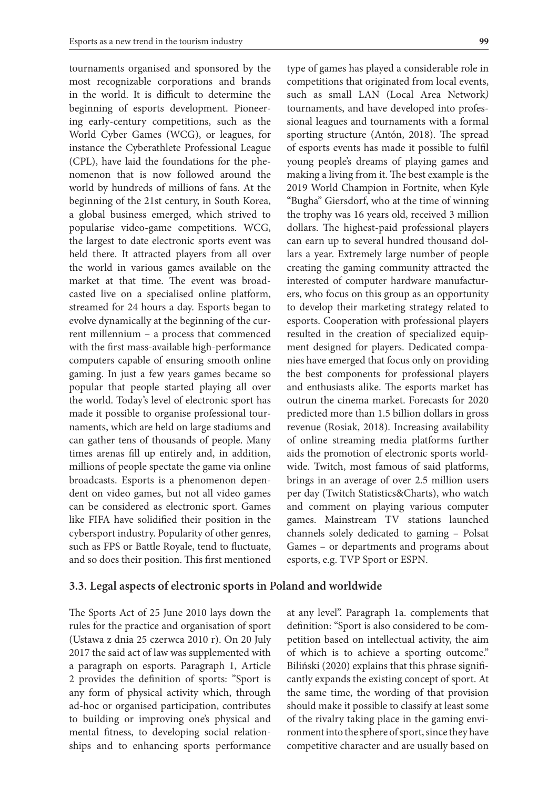tournaments organised and sponsored by the most recognizable corporations and brands in the world. It is difficult to determine the beginning of esports development. Pioneering early-century competitions, such as the World Cyber Games (WCG), or leagues, for instance the Cyberathlete Professional League (CPL), have laid the foundations for the phenomenon that is now followed around the world by hundreds of millions of fans. At the beginning of the 21st century, in South Korea, a global business emerged, which strived to popularise video-game competitions. WCG, the largest to date electronic sports event was held there. It attracted players from all over the world in various games available on the market at that time. The event was broadcasted live on a specialised online platform, streamed for 24 hours a day. Esports began to evolve dynamically at the beginning of the current millennium – a process that commenced with the first mass-available high-performance computers capable of ensuring smooth online gaming. In just a few years games became so popular that people started playing all over the world. Today's level of electronic sport has made it possible to organise professional tournaments, which are held on large stadiums and can gather tens of thousands of people. Many times arenas fill up entirely and, in addition, millions of people spectate the game via online broadcasts. Esports is a phenomenon dependent on video games, but not all video games can be considered as electronic sport. Games like FIFA have solidified their position in the cybersport industry. Popularity of other genres, such as FPS or Battle Royale, tend to fluctuate, and so does their position. This first mentioned

The Sports Act of 25 June 2010 lays down the rules for the practice and organisation of sport (Ustawa z dnia 25 czerwca 2010 r). On 20 July 2017 the said act of law was supplemented with a paragraph on esports. Paragraph 1, Article 2 provides the definition of sports: "Sport is any form of physical activity which, through ad-hoc or organised participation, contributes to building or improving one's physical and mental fitness, to developing social relationships and to enhancing sports performance

**3.3. Legal aspects of electronic sports in Poland and worldwide**

type of games has played a considerable role in competitions that originated from local events, such as small LAN (Local Area Network*)*  tournaments, and have developed into professional leagues and tournaments with a formal sporting structure (Antón, 2018). The spread of esports events has made it possible to fulfil young people's dreams of playing games and making a living from it. The best example is the 2019 World Champion in Fortnite, when Kyle "Bugha" Giersdorf, who at the time of winning the trophy was 16 years old, received 3 million dollars. The highest-paid professional players can earn up to several hundred thousand dollars a year. Extremely large number of people creating the gaming community attracted the interested of computer hardware manufacturers, who focus on this group as an opportunity to develop their marketing strategy related to esports. Cooperation with professional players resulted in the creation of specialized equipment designed for players. Dedicated companies have emerged that focus only on providing the best components for professional players and enthusiasts alike. The esports market has outrun the cinema market. Forecasts for 2020 predicted more than 1.5 billion dollars in gross revenue (Rosiak, 2018). Increasing availability of online streaming media platforms further aids the promotion of electronic sports worldwide. Twitch, most famous of said platforms, brings in an average of over 2.5 million users per day (Twitch Statistics&Charts), who watch and comment on playing various computer games. Mainstream TV stations launched channels solely dedicated to gaming – Polsat Games – or departments and programs about esports, e.g. TVP Sport or ESPN.

at any level". Paragraph 1a. complements that definition: "Sport is also considered to be competition based on intellectual activity, the aim of which is to achieve a sporting outcome." Biliński (2020) explains that this phrase significantly expands the existing concept of sport. At the same time, the wording of that provision should make it possible to classify at least some of the rivalry taking place in the gaming environment into the sphere of sport, since they have competitive character and are usually based on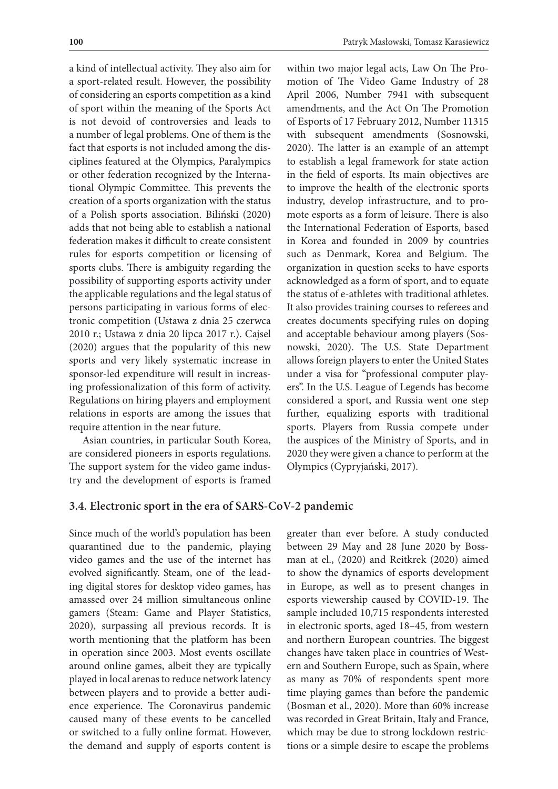a kind of intellectual activity. They also aim for a sport-related result. However, the possibility of considering an esports competition as a kind of sport within the meaning of the Sports Act is not devoid of controversies and leads to a number of legal problems. One of them is the fact that esports is not included among the disciplines featured at the Olympics, Paralympics or other federation recognized by the International Olympic Committee. This prevents the creation of a sports organization with the status of a Polish sports association. Biliński (2020) adds that not being able to establish a national federation makes it difficult to create consistent rules for esports competition or licensing of sports clubs. There is ambiguity regarding the possibility of supporting esports activity under the applicable regulations and the legal status of persons participating in various forms of electronic competition (Ustawa z dnia 25 czerwca 2010 r.; Ustawa z dnia 20 lipca 2017 r.). Cajsel (2020) argues that the popularity of this new sports and very likely systematic increase in sponsor-led expenditure will result in increasing professionalization of this form of activity. Regulations on hiring players and employment relations in esports are among the issues that require attention in the near future.

Asian countries, in particular South Korea, are considered pioneers in esports regulations. The support system for the video game industry and the development of esports is framed within two major legal acts, Law On The Promotion of The Video Game Industry of 28 April 2006, Number 7941 with subsequent amendments, and the Act On The Promotion of Esports of 17 February 2012, Number 11315 with subsequent amendments (Sosnowski, 2020). The latter is an example of an attempt to establish a legal framework for state action in the field of esports. Its main objectives are to improve the health of the electronic sports industry, develop infrastructure, and to promote esports as a form of leisure. There is also the International Federation of Esports, based in Korea and founded in 2009 by countries such as Denmark, Korea and Belgium. The organization in question seeks to have esports acknowledged as a form of sport, and to equate the status of e-athletes with traditional athletes. It also provides training courses to referees and creates documents specifying rules on doping and acceptable behaviour among players (Sosnowski, 2020). The U.S. State Department allows foreign players to enter the United States under a visa for "professional computer players". In the U.S. League of Legends has become considered a sport, and Russia went one step further, equalizing esports with traditional sports. Players from Russia compete under the auspices of the Ministry of Sports, and in 2020 they were given a chance to perform at the Olympics (Cypryjański, 2017).

#### **3.4. Electronic sport in the era of SARS-CoV-2 pandemic**

Since much of the world's population has been quarantined due to the pandemic, playing video games and the use of the internet has evolved significantly. Steam, one of the leading digital stores for desktop video games, has amassed over 24 million simultaneous online gamers (Steam: Game and Player Statistics, 2020), surpassing all previous records. It is worth mentioning that the platform has been in operation since 2003. Most events oscillate around online games, albeit they are typically played in local arenas to reduce network latency between players and to provide a better audience experience. The Coronavirus pandemic caused many of these events to be cancelled or switched to a fully online format. However, the demand and supply of esports content is

greater than ever before. A study conducted between 29 May and 28 June 2020 by Bossman at el., (2020) and Reitkrek (2020) aimed to show the dynamics of esports development in Europe, as well as to present changes in esports viewership caused by COVID-19. The sample included 10,715 respondents interested in electronic sports, aged 18–45, from western and northern European countries. The biggest changes have taken place in countries of Western and Southern Europe, such as Spain, where as many as 70% of respondents spent more time playing games than before the pandemic (Bosman et al., 2020). More than 60% increase was recorded in Great Britain, Italy and France, which may be due to strong lockdown restrictions or a simple desire to escape the problems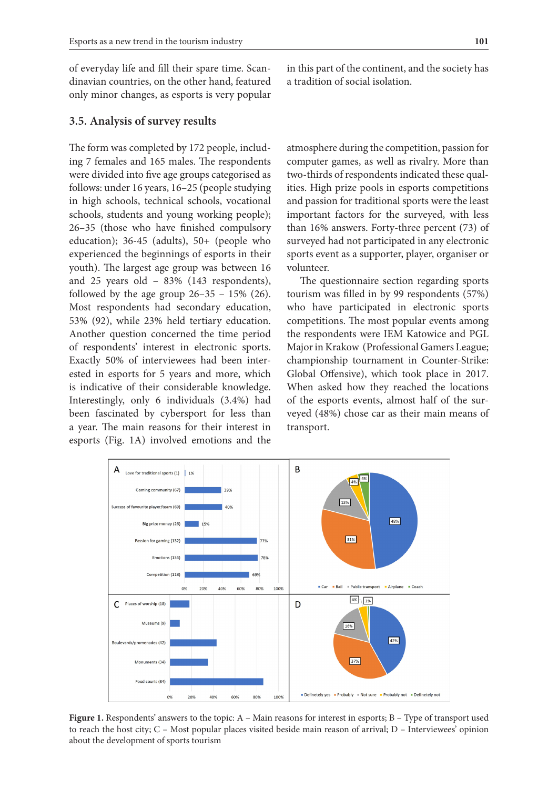of everyday life and fill their spare time. Scandinavian countries, on the other hand, featured only minor changes, as esports is very popular

#### **3.5. Analysis of survey results**

The form was completed by 172 people, including 7 females and 165 males. The respondents were divided into five age groups categorised as follows: under 16 years, 16–25 (people studying in high schools, technical schools, vocational schools, students and young working people); 26–35 (those who have finished compulsory education); 36-45 (adults), 50+ (people who experienced the beginnings of esports in their youth). The largest age group was between 16 and 25 years old – 83% (143 respondents), followed by the age group  $26-35 - 15\%$  (26). Most respondents had secondary education, 53% (92), while 23% held tertiary education. Another question concerned the time period of respondents' interest in electronic sports. Exactly 50% of interviewees had been interested in esports for 5 years and more, which is indicative of their considerable knowledge. Interestingly, only 6 individuals (3.4%) had been fascinated by cybersport for less than a year. The main reasons for their interest in esports (Fig. 1A) involved emotions and the

in this part of the continent, and the society has a tradition of social isolation.

atmosphere during the competition, passion for computer games, as well as rivalry. More than two-thirds of respondents indicated these qualities. High prize pools in esports competitions and passion for traditional sports were the least important factors for the surveyed, with less than 16% answers. Forty-three percent (73) of surveyed had not participated in any electronic sports event as a supporter, player, organiser or volunteer.

The questionnaire section regarding sports tourism was filled in by 99 respondents (57%) who have participated in electronic sports competitions. The most popular events among the respondents were IEM Katowice and PGL Major in Krakow (Professional Gamers League; championship tournament in Counter-Strike: Global Offensive), which took place in 2017. When asked how they reached the locations of the esports events, almost half of the surveyed (48%) chose car as their main means of transport.



**Figure 1.** Respondents' answers to the topic: A – Main reasons for interest in esports; B – Type of transport used to reach the host city; C – Most popular places visited beside main reason of arrival; D – Interviewees' opinion about the development of sports tourism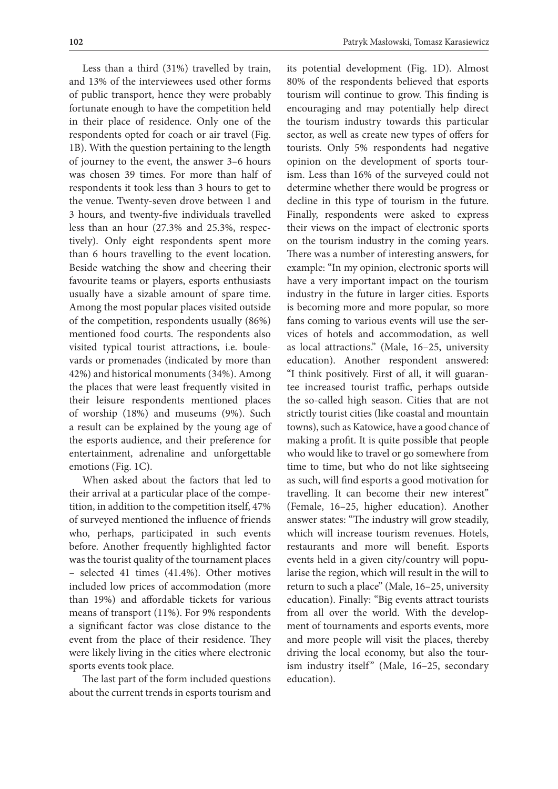Less than a third (31%) travelled by train, and 13% of the interviewees used other forms of public transport, hence they were probably fortunate enough to have the competition held in their place of residence. Only one of the respondents opted for coach or air travel (Fig. 1B). With the question pertaining to the length of journey to the event, the answer 3–6 hours was chosen 39 times. For more than half of respondents it took less than 3 hours to get to the venue. Twenty-seven drove between 1 and 3 hours, and twenty-five individuals travelled less than an hour (27.3% and 25.3%, respectively). Only eight respondents spent more than 6 hours travelling to the event location. Beside watching the show and cheering their favourite teams or players, esports enthusiasts usually have a sizable amount of spare time. Among the most popular places visited outside of the competition, respondents usually (86%) mentioned food courts. The respondents also visited typical tourist attractions, i.e. boulevards or promenades (indicated by more than 42%) and historical monuments (34%). Among the places that were least frequently visited in their leisure respondents mentioned places of worship (18%) and museums (9%). Such a result can be explained by the young age of the esports audience, and their preference for entertainment, adrenaline and unforgettable emotions (Fig. 1C).

When asked about the factors that led to their arrival at a particular place of the competition, in addition to the competition itself, 47% of surveyed mentioned the influence of friends who, perhaps, participated in such events before. Another frequently highlighted factor was the tourist quality of the tournament places – selected 41 times (41.4%). Other motives included low prices of accommodation (more than 19%) and affordable tickets for various means of transport (11%). For 9% respondents a significant factor was close distance to the event from the place of their residence. They were likely living in the cities where electronic sports events took place.

The last part of the form included questions about the current trends in esports tourism and

its potential development (Fig. 1D). Almost 80% of the respondents believed that esports tourism will continue to grow. This finding is encouraging and may potentially help direct the tourism industry towards this particular sector, as well as create new types of offers for tourists. Only 5% respondents had negative opinion on the development of sports tourism. Less than 16% of the surveyed could not determine whether there would be progress or decline in this type of tourism in the future. Finally, respondents were asked to express their views on the impact of electronic sports on the tourism industry in the coming years. There was a number of interesting answers, for example: "In my opinion, electronic sports will have a very important impact on the tourism industry in the future in larger cities. Esports is becoming more and more popular, so more fans coming to various events will use the services of hotels and accommodation, as well as local attractions." (Male, 16–25, university education). Another respondent answered: "I think positively. First of all, it will guarantee increased tourist traffic, perhaps outside the so-called high season. Cities that are not strictly tourist cities (like coastal and mountain towns), such as Katowice, have a good chance of making a profit. It is quite possible that people who would like to travel or go somewhere from time to time, but who do not like sightseeing as such, will find esports a good motivation for travelling. It can become their new interest" (Female, 16–25, higher education). Another answer states: "The industry will grow steadily, which will increase tourism revenues. Hotels, restaurants and more will benefit. Esports events held in a given city/country will popularise the region, which will result in the will to return to such a place" (Male, 16–25, university education). Finally: "Big events attract tourists from all over the world. With the development of tournaments and esports events, more and more people will visit the places, thereby driving the local economy, but also the tourism industry itself" (Male, 16-25, secondary education).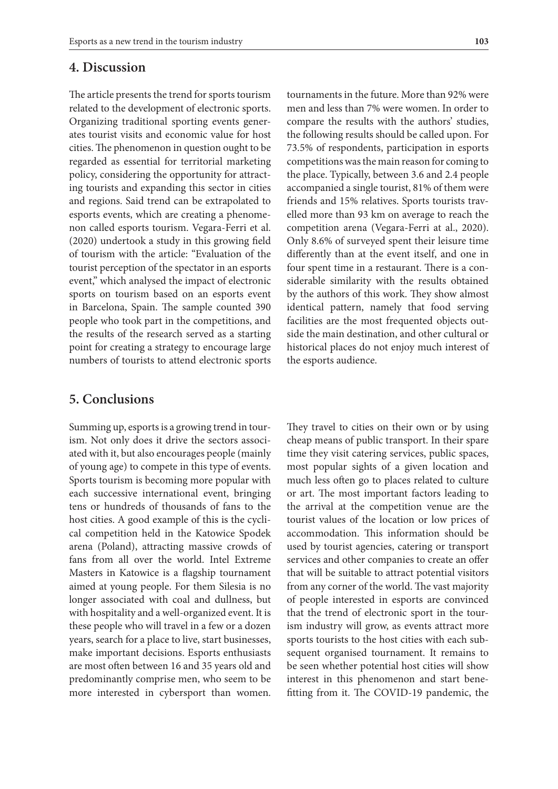## **4. Discussion**

The article presents the trend for sports tourism related to the development of electronic sports. Organizing traditional sporting events generates tourist visits and economic value for host cities. The phenomenon in question ought to be regarded as essential for territorial marketing policy, considering the opportunity for attracting tourists and expanding this sector in cities and regions. Said trend can be extrapolated to esports events, which are creating a phenomenon called esports tourism. Vegara-Ferri et al. (2020) undertook a study in this growing field of tourism with the article: "Evaluation of the tourist perception of the spectator in an esports event," which analysed the impact of electronic sports on tourism based on an esports event in Barcelona, Spain. The sample counted 390 people who took part in the competitions, and the results of the research served as a starting point for creating a strategy to encourage large numbers of tourists to attend electronic sports

## **5. Conclusions**

Summing up, esports is a growing trend in tourism. Not only does it drive the sectors associated with it, but also encourages people (mainly of young age) to compete in this type of events. Sports tourism is becoming more popular with each successive international event, bringing tens or hundreds of thousands of fans to the host cities. A good example of this is the cyclical competition held in the Katowice Spodek arena (Poland), attracting massive crowds of fans from all over the world. Intel Extreme Masters in Katowice is a flagship tournament aimed at young people. For them Silesia is no longer associated with coal and dullness, but with hospitality and a well-organized event. It is these people who will travel in a few or a dozen years, search for a place to live, start businesses, make important decisions. Esports enthusiasts are most often between 16 and 35 years old and predominantly comprise men, who seem to be more interested in cybersport than women.

tournaments in the future. More than 92% were men and less than 7% were women. In order to compare the results with the authors' studies, the following results should be called upon. For 73.5% of respondents, participation in esports competitions was the main reason for coming to the place. Typically, between 3.6 and 2.4 people accompanied a single tourist, 81% of them were friends and 15% relatives. Sports tourists travelled more than 93 km on average to reach the competition arena (Vegara-Ferri at al., 2020). Only 8.6% of surveyed spent their leisure time differently than at the event itself, and one in four spent time in a restaurant. There is a considerable similarity with the results obtained by the authors of this work. They show almost identical pattern, namely that food serving facilities are the most frequented objects outside the main destination, and other cultural or historical places do not enjoy much interest of the esports audience.

They travel to cities on their own or by using cheap means of public transport. In their spare time they visit catering services, public spaces, most popular sights of a given location and much less often go to places related to culture or art. The most important factors leading to the arrival at the competition venue are the tourist values of the location or low prices of accommodation. This information should be used by tourist agencies, catering or transport services and other companies to create an offer that will be suitable to attract potential visitors from any corner of the world. The vast majority of people interested in esports are convinced that the trend of electronic sport in the tourism industry will grow, as events attract more sports tourists to the host cities with each subsequent organised tournament. It remains to be seen whether potential host cities will show interest in this phenomenon and start benefitting from it. The COVID-19 pandemic, the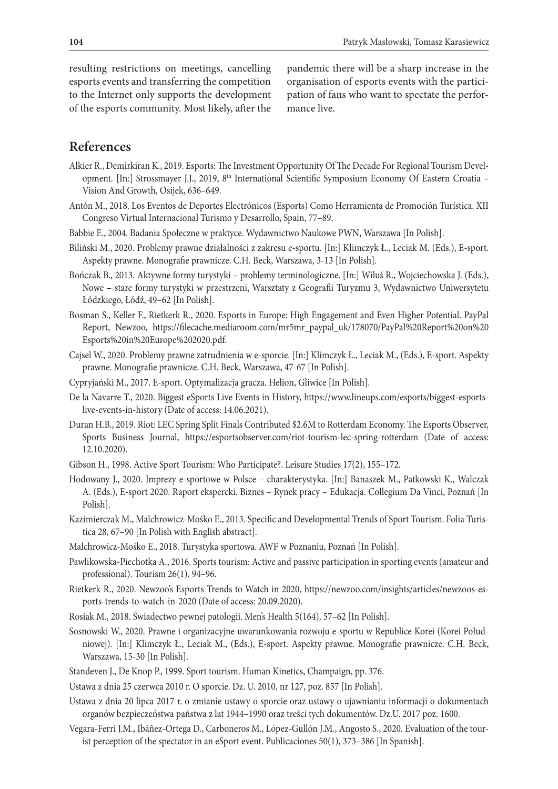resulting restrictions on meetings, cancelling esports events and transferring the competition to the Internet only supports the development of the esports community. Most likely, after the

pandemic there will be a sharp increase in the organisation of esports events with the participation of fans who want to spectate the performance live.

## **References**

- Alkier R., Demirkiran K., 2019. Esports: The Investment Opportunity Of The Decade For Regional Tourism Development. [In:] Strossmayer J.J., 2019, 8<sup>th</sup> International Scientific Symposium Economy Of Eastern Croatia -Vision And Growth, Osijek, 636–649.
- Antón M., 2018. Los Eventos de Deportes Electrónicos (Esports) Como Herramienta de Promoción Turística. XII Congreso Virtual Internacional Turismo y Desarrollo, Spain, 77–89.
- Babbie E., 2004. Badania Społeczne w praktyce. Wydawnictwo Naukowe PWN, Warszawa [In Polish].
- Biliński M., 2020. Problemy prawne działalności z zakresu e-sportu. [In:] Klimczyk Ł., Leciak M. (Eds.), E-sport. Aspekty prawne. Monografie prawnicze. C.H. Beck, Warszawa, 3-13 [In Polish].
- Bończak B., 2013. Aktywne formy turystyki problemy terminologiczne. [In:] Wiluś R., Wojciechowska J. (Eds.), Nowe – stare formy turystyki w przestrzeni, Warsztaty z Geografii Turyzmu 3, Wydawnictwo Uniwersytetu Łódzkiego, Łódź, 49–62 [In Polish].
- Bosman S., Keller F., Rietkerk R., 2020. Esports in Europe: High Engagement and Even Higher Potential. PayPal Report, Newzoo, https://filecache.mediaroom.com/mr5mr\_paypal\_uk/178070/PayPal%20Report%20on%20 Esports%20in%20Europe%202020.pdf.
- Cajsel W., 2020. Problemy prawne zatrudnienia w e-sporcie. [In:] Klimczyk Ł., Leciak M., (Eds.), E-sport. Aspekty prawne. Monografie prawnicze. C.H. Beck, Warszawa, 47-67 [In Polish].
- Cypryjański M., 2017. E-sport. Optymalizacja gracza. Helion, Gliwice [In Polish].
- De la Navarre T., 2020. Biggest eSports Live Events in History, https://www.lineups.com/esports/biggest-esportslive-events-in-history (Date of access: 14.06.2021).
- Duran H.B., 2019. Riot: LEC Spring Split Finals Contributed \$2.6M to Rotterdam Economy. The Esports Observer, Sports Business Journal, https://esportsobserver.com/riot-tourism-lec-spring-rotterdam (Date of access: 12.10.2020).
- Gibson H., 1998. Active Sport Tourism: Who Participate?. Leisure Studies 17(2), 155–172.
- Hodowany J., 2020. Imprezy e-sportowe w Polsce charakterystyka. [In:] Banaszek M., Patkowski K., Walczak A. (Eds.), E-sport 2020. Raport ekspercki. Biznes – Rynek pracy – Edukacja. Collegium Da Vinci, Poznań [In Polish].
- Kazimierczak M., Malchrowicz-Mośko E., 2013. Specific and Developmental Trends of Sport Tourism. Folia Turistica 28, 67–90 [In Polish with English abstract].
- Malchrowicz-Mośko E., 2018. Turystyka sportowa. AWF w Poznaniu, Poznań [In Polish].
- Pawlikowska-Piechotka A., 2016. Sports tourism: Active and passive participation in sporting events (amateur and professional). Tourism 26(1), 94–96.
- Rietkerk R., 2020. Newzoo's Esports Trends to Watch in 2020, https://newzoo.com/insights/articles/newzoos-esports-trends-to-watch-in-2020 (Date of access: 20.09.2020).
- Rosiak M., 2018. Świadectwo pewnej patologii. Men's Health 5(164), 57–62 [In Polish].
- Sosnowski W., 2020. Prawne i organizacyjne uwarunkowania rozwoju e-sportu w Republice Korei (Korei Południowej). [In:] Klimczyk Ł., Leciak M., (Eds.), E-sport. Aspekty prawne. Monografie prawnicze. C.H. Beck, Warszawa, 15-30 [In Polish].
- Standeven J., De Knop P., 1999. Sport tourism. Human Kinetics, Champaign, pp. 376.
- Ustawa z dnia 25 czerwca 2010 r. O sporcie. Dz. U. 2010, nr 127, poz. 857 [In Polish].
- Ustawa z dnia 20 lipca 2017 r. o zmianie ustawy o sporcie oraz ustawy o ujawnianiu informacji o dokumentach organów bezpieczeństwa państwa z lat 1944–1990 oraz treści tych dokumentów. Dz.U. 2017 poz. 1600.
- Vegara-Ferri J.M., Ibáñez-Ortega D., Carboneros M., López-Gullón J.M., Angosto S., 2020. Evaluation of the tourist perception of the spectator in an eSport event. Publicaciones 50(1), 373–386 [In Spanish].